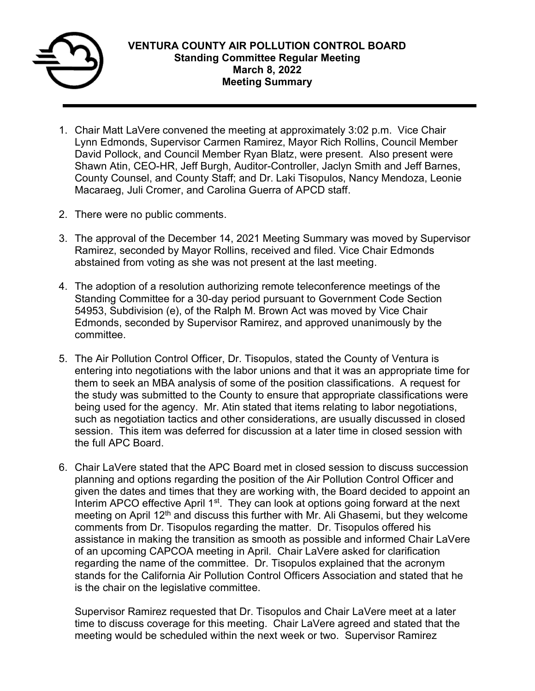

- 1. Chair Matt LaVere convened the meeting at approximately 3:02 p.m. Vice Chair Lynn Edmonds, Supervisor Carmen Ramirez, Mayor Rich Rollins, Council Member David Pollock, and Council Member Ryan Blatz, were present. Also present were Shawn Atin, CEO-HR, Jeff Burgh, Auditor-Controller, Jaclyn Smith and Jeff Barnes, County Counsel, and County Staff; and Dr. Laki Tisopulos, Nancy Mendoza, Leonie Macaraeg, Juli Cromer, and Carolina Guerra of APCD staff.
- 2. There were no public comments.
- 3. The approval of the December 14, 2021 Meeting Summary was moved by Supervisor Ramirez, seconded by Mayor Rollins, received and filed. Vice Chair Edmonds abstained from voting as she was not present at the last meeting.
- 4. The adoption of a resolution authorizing remote teleconference meetings of the Standing Committee for a 30-day period pursuant to Government Code Section 54953, Subdivision (e), of the Ralph M. Brown Act was moved by Vice Chair Edmonds, seconded by Supervisor Ramirez, and approved unanimously by the committee.
- 5. The Air Pollution Control Officer, Dr. Tisopulos, stated the County of Ventura is entering into negotiations with the labor unions and that it was an appropriate time for them to seek an MBA analysis of some of the position classifications. A request for the study was submitted to the County to ensure that appropriate classifications were being used for the agency. Mr. Atin stated that items relating to labor negotiations, such as negotiation tactics and other considerations, are usually discussed in closed session. This item was deferred for discussion at a later time in closed session with the full APC Board.
- 6. Chair LaVere stated that the APC Board met in closed session to discuss succession planning and options regarding the position of the Air Pollution Control Officer and given the dates and times that they are working with, the Board decided to appoint an Interim APCO effective April 1<sup>st</sup>. They can look at options going forward at the next meeting on April 12<sup>th</sup> and discuss this further with Mr. Ali Ghasemi, but they welcome comments from Dr. Tisopulos regarding the matter. Dr. Tisopulos offered his assistance in making the transition as smooth as possible and informed Chair LaVere of an upcoming CAPCOA meeting in April. Chair LaVere asked for clarification regarding the name of the committee. Dr. Tisopulos explained that the acronym stands for the California Air Pollution Control Officers Association and stated that he is the chair on the legislative committee.

Supervisor Ramirez requested that Dr. Tisopulos and Chair LaVere meet at a later time to discuss coverage for this meeting. Chair LaVere agreed and stated that the meeting would be scheduled within the next week or two. Supervisor Ramirez